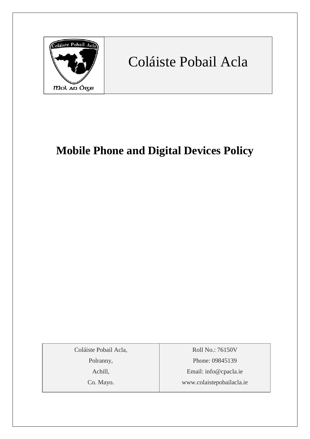

# Coláiste Pobail Acla

# **Mobile Phone and Digital Devices Policy**

Coláiste Pobail Acla,

Polranny,

Achill,

Co. Mayo.

Roll No.: 76150V Phone: 09845139 Email: [info@cpacla.ie](mailto:info@cpacla.ie) www.colaistepobailacla.ie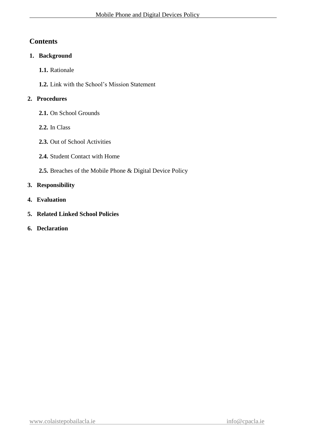# **Contents**

### **1. Background**

**1.1.** Rationale

**1.2.** Link with the School's Mission Statement

## **2. Procedures**

- **2.1.** On School Grounds
- **2.2.** In Class
- **2.3.** Out of School Activities
- **2.4.** Student Contact with Home
- **2.5.** Breaches of the Mobile Phone & Digital Device Policy

# **3. Responsibility**

- **4. Evaluation**
- **5. Related Linked School Policies**
- **6. Declaration**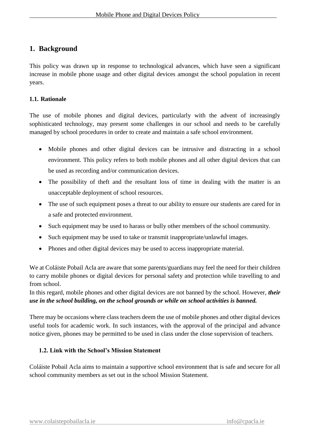# **1. Background**

This policy was drawn up in response to technological advances, which have seen a significant increase in mobile phone usage and other digital devices amongst the school population in recent years.

#### **1.1. Rationale**

The use of mobile phones and digital devices, particularly with the advent of increasingly sophisticated technology, may present some challenges in our school and needs to be carefully managed by school procedures in order to create and maintain a safe school environment.

- Mobile phones and other digital devices can be intrusive and distracting in a school environment. This policy refers to both mobile phones and all other digital devices that can be used as recording and/or communication devices.
- The possibility of theft and the resultant loss of time in dealing with the matter is an unacceptable deployment of school resources.
- The use of such equipment poses a threat to our ability to ensure our students are cared for in a safe and protected environment.
- Such equipment may be used to harass or bully other members of the school community.
- Such equipment may be used to take or transmit inappropriate/unlawful images.
- Phones and other digital devices may be used to access inappropriate material.

We at Coláiste Pobail Acla are aware that some parents/guardians may feel the need for their children to carry mobile phones or digital devices for personal safety and protection while travelling to and from school.

In this regard, mobile phones and other digital devices are not banned by the school. However, *their use in the school building, on the school grounds or while on school activities is banned.*

There may be occasions where class teachers deem the use of mobile phones and other digital devices useful tools for academic work. In such instances, with the approval of the principal and advance notice given, phones may be permitted to be used in class under the close supervision of teachers.

#### **1.2. Link with the School's Mission Statement**

Coláiste Pobail Acla aims to maintain a supportive school environment that is safe and secure for all school community members as set out in the school Mission Statement.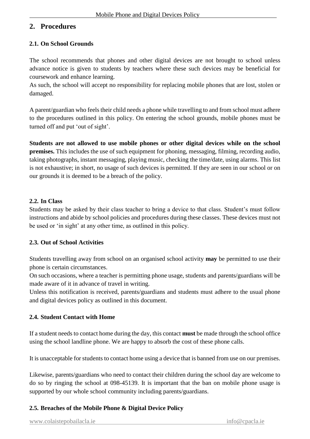# **2. Procedures**

#### **2.1. On School Grounds**

The school recommends that phones and other digital devices are not brought to school unless advance notice is given to students by teachers where these such devices may be beneficial for coursework and enhance learning.

As such, the school will accept no responsibility for replacing mobile phones that are lost, stolen or damaged.

A parent/guardian who feels their child needs a phone while travelling to and from school must adhere to the procedures outlined in this policy. On entering the school grounds, mobile phones must be turned off and put 'out of sight'.

**Students are not allowed to use mobile phones or other digital devices while on the school premises.** This includes the use of such equipment for phoning, messaging, filming, recording audio, taking photographs, instant messaging, playing music, checking the time/date, using alarms. This list is not exhaustive; in short, no usage of such devices is permitted. If they are seen in our school or on our grounds it is deemed to be a breach of the policy.

#### **2.2. In Class**

Students may be asked by their class teacher to bring a device to that class. Student's must follow instructions and abide by school policies and procedures during these classes. These devices must not be used or 'in sight' at any other time, as outlined in this policy.

#### **2.3. Out of School Activities**

Students travelling away from school on an organised school activity **may** be permitted to use their phone is certain circumstances.

On such occasions, where a teacher is permitting phone usage, students and parents/guardians will be made aware of it in advance of travel in writing.

Unless this notification is received, parents/guardians and students must adhere to the usual phone and digital devices policy as outlined in this document.

#### **2.4. Student Contact with Home**

If a student needs to contact home during the day, this contact **must** be made through the school office using the school landline phone. We are happy to absorb the cost of these phone calls.

It is unacceptable for students to contact home using a device that is banned from use on our premises.

Likewise, parents/guardians who need to contact their children during the school day are welcome to do so by ringing the school at 098-45139. It is important that the ban on mobile phone usage is supported by our whole school community including parents/guardians.

#### **2.5. Breaches of the Mobile Phone & Digital Device Policy**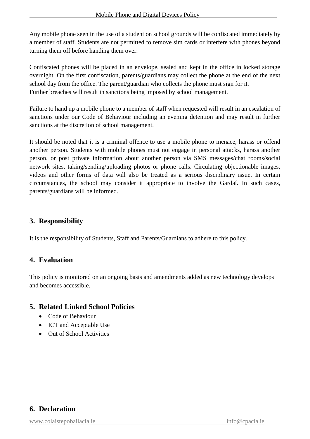Any mobile phone seen in the use of a student on school grounds will be confiscated immediately by a member of staff. Students are not permitted to remove sim cards or interfere with phones beyond turning them off before handing them over.

Confiscated phones will be placed in an envelope, sealed and kept in the office in locked storage overnight. On the first confiscation, parents/guardians may collect the phone at the end of the next school day from the office. The parent/guardian who collects the phone must sign for it. Further breaches will result in sanctions being imposed by school management.

Failure to hand up a mobile phone to a member of staff when requested will result in an escalation of sanctions under our Code of Behaviour including an evening detention and may result in further sanctions at the discretion of school management.

It should be noted that it is a criminal offence to use a mobile phone to menace, harass or offend another person. Students with mobile phones must not engage in personal attacks, harass another person, or post private information about another person via SMS messages/chat rooms/social network sites, taking/sending/uploading photos or phone calls. Circulating objectionable images, videos and other forms of data will also be treated as a serious disciplinary issue. In certain circumstances, the school may consider it appropriate to involve the Gardaí. In such cases, parents/guardians will be informed.

# **3. Responsibility**

It is the responsibility of Students, Staff and Parents/Guardians to adhere to this policy.

# **4. Evaluation**

This policy is monitored on an ongoing basis and amendments added as new technology develops and becomes accessible.

# **5. Related Linked School Policies**

- Code of Behaviour
- ICT and Acceptable Use
- Out of School Activities

# **6. Declaration**